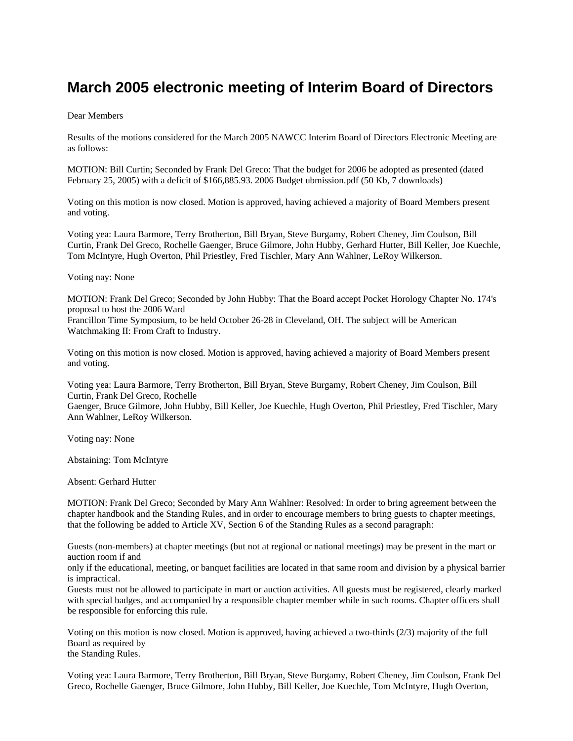## **March 2005 electronic meeting of Interim Board of Directors**

## Dear Members

Results of the motions considered for the March 2005 NAWCC Interim Board of Directors Electronic Meeting are as follows:

MOTION: Bill Curtin; Seconded by Frank Del Greco: That the budget for 2006 be adopted as presented (dated February 25, 2005) with a deficit of \$166,885.93. 2006 Budget ubmission.pdf (50 Kb, 7 downloads)

Voting on this motion is now closed. Motion is approved, having achieved a majority of Board Members present and voting.

Voting yea: Laura Barmore, Terry Brotherton, Bill Bryan, Steve Burgamy, Robert Cheney, Jim Coulson, Bill Curtin, Frank Del Greco, Rochelle Gaenger, Bruce Gilmore, John Hubby, Gerhard Hutter, Bill Keller, Joe Kuechle, Tom McIntyre, Hugh Overton, Phil Priestley, Fred Tischler, Mary Ann Wahlner, LeRoy Wilkerson.

Voting nay: None

MOTION: Frank Del Greco; Seconded by John Hubby: That the Board accept Pocket Horology Chapter No. 174's proposal to host the 2006 Ward Francillon Time Symposium, to be held October 26-28 in Cleveland, OH. The subject will be American Watchmaking II: From Craft to Industry.

Voting on this motion is now closed. Motion is approved, having achieved a majority of Board Members present and voting.

Voting yea: Laura Barmore, Terry Brotherton, Bill Bryan, Steve Burgamy, Robert Cheney, Jim Coulson, Bill Curtin, Frank Del Greco, Rochelle

Gaenger, Bruce Gilmore, John Hubby, Bill Keller, Joe Kuechle, Hugh Overton, Phil Priestley, Fred Tischler, Mary Ann Wahlner, LeRoy Wilkerson.

Voting nay: None

Abstaining: Tom McIntyre

Absent: Gerhard Hutter

MOTION: Frank Del Greco; Seconded by Mary Ann Wahlner: Resolved: In order to bring agreement between the chapter handbook and the Standing Rules, and in order to encourage members to bring guests to chapter meetings, that the following be added to Article XV, Section 6 of the Standing Rules as a second paragraph:

Guests (non-members) at chapter meetings (but not at regional or national meetings) may be present in the mart or auction room if and

only if the educational, meeting, or banquet facilities are located in that same room and division by a physical barrier is impractical.

Guests must not be allowed to participate in mart or auction activities. All guests must be registered, clearly marked with special badges, and accompanied by a responsible chapter member while in such rooms. Chapter officers shall be responsible for enforcing this rule.

Voting on this motion is now closed. Motion is approved, having achieved a two-thirds (2/3) majority of the full Board as required by the Standing Rules.

Voting yea: Laura Barmore, Terry Brotherton, Bill Bryan, Steve Burgamy, Robert Cheney, Jim Coulson, Frank Del Greco, Rochelle Gaenger, Bruce Gilmore, John Hubby, Bill Keller, Joe Kuechle, Tom McIntyre, Hugh Overton,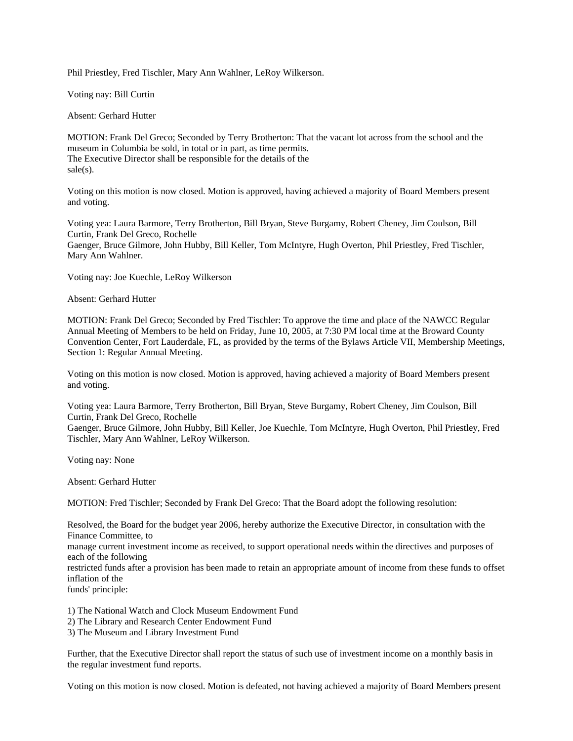Phil Priestley, Fred Tischler, Mary Ann Wahlner, LeRoy Wilkerson.

Voting nay: Bill Curtin

Absent: Gerhard Hutter

MOTION: Frank Del Greco; Seconded by Terry Brotherton: That the vacant lot across from the school and the museum in Columbia be sold, in total or in part, as time permits. The Executive Director shall be responsible for the details of the sale(s).

Voting on this motion is now closed. Motion is approved, having achieved a majority of Board Members present and voting.

Voting yea: Laura Barmore, Terry Brotherton, Bill Bryan, Steve Burgamy, Robert Cheney, Jim Coulson, Bill Curtin, Frank Del Greco, Rochelle Gaenger, Bruce Gilmore, John Hubby, Bill Keller, Tom McIntyre, Hugh Overton, Phil Priestley, Fred Tischler, Mary Ann Wahlner.

Voting nay: Joe Kuechle, LeRoy Wilkerson

Absent: Gerhard Hutter

MOTION: Frank Del Greco; Seconded by Fred Tischler: To approve the time and place of the NAWCC Regular Annual Meeting of Members to be held on Friday, June 10, 2005, at 7:30 PM local time at the Broward County Convention Center, Fort Lauderdale, FL, as provided by the terms of the Bylaws Article VII, Membership Meetings, Section 1: Regular Annual Meeting.

Voting on this motion is now closed. Motion is approved, having achieved a majority of Board Members present and voting.

Voting yea: Laura Barmore, Terry Brotherton, Bill Bryan, Steve Burgamy, Robert Cheney, Jim Coulson, Bill Curtin, Frank Del Greco, Rochelle

Gaenger, Bruce Gilmore, John Hubby, Bill Keller, Joe Kuechle, Tom McIntyre, Hugh Overton, Phil Priestley, Fred Tischler, Mary Ann Wahlner, LeRoy Wilkerson.

Voting nay: None

Absent: Gerhard Hutter

MOTION: Fred Tischler; Seconded by Frank Del Greco: That the Board adopt the following resolution:

Resolved, the Board for the budget year 2006, hereby authorize the Executive Director, in consultation with the Finance Committee, to

manage current investment income as received, to support operational needs within the directives and purposes of each of the following

restricted funds after a provision has been made to retain an appropriate amount of income from these funds to offset inflation of the

funds' principle:

1) The National Watch and Clock Museum Endowment Fund

2) The Library and Research Center Endowment Fund

3) The Museum and Library Investment Fund

Further, that the Executive Director shall report the status of such use of investment income on a monthly basis in the regular investment fund reports.

Voting on this motion is now closed. Motion is defeated, not having achieved a majority of Board Members present